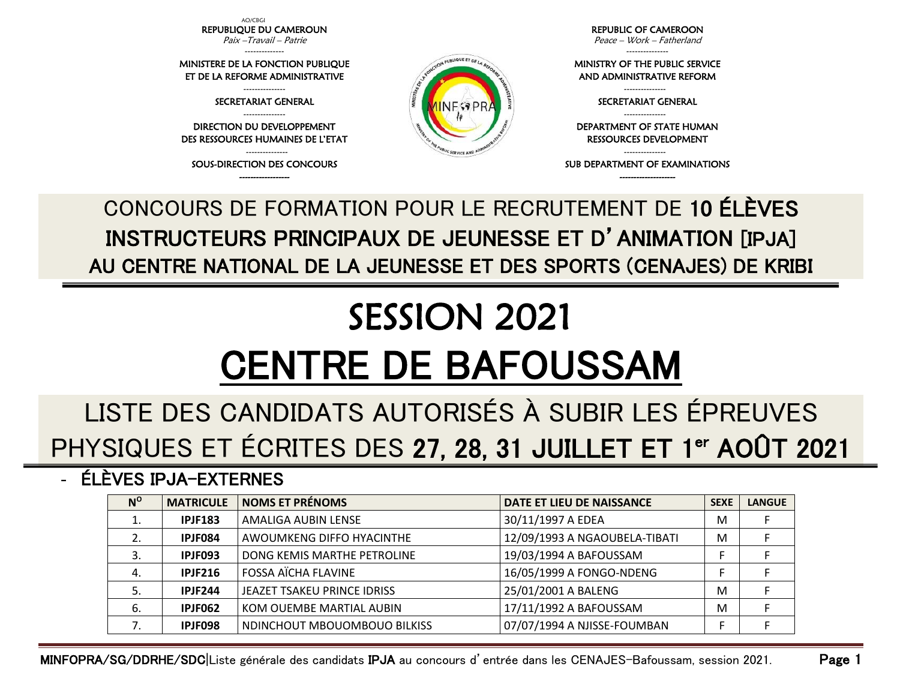AO/CBGI REPUBLIQUE DU CAMEROUN Paix –Travail – Patrie

-------------- MINISTERE DE LA FONCTION PUBLIQUE ET DE LA REFORME ADMINISTRATIVE --------------- SECRETARIAT GENERAL --------------- DIRECTION DU DEVELOPPEMENT DES RESSOURCES HUMAINES DE L'ETAT --------------- SOUS-DIRECTION DES CONCOURS ------------------

REPUBLIC OF CAMEROON Peace – Work – Fatherland

---------------

MINISTRY OF THE PUBLIC SERVICE AND ADMINISTRATIVE REFORM

> --------------- SECRETARIAT GENERAL

RESSOURCES DEVELOPMENT

--------------------

--------------- DEPARTMENT OF STATE HUMAN

---------------

SUB DEPARTMENT OF EXAMINATIONS

CONCOURS DE FORMATION POUR LE RECRUTEMENT DE 10 ÉLÈVES INSTRUCTEURS PRINCIPAUX DE JEUNESSE ET D'ANIMATION [IPJA] AU CENTRE NATIONAL DE LA JEUNESSE ET DES SPORTS (CENAJES) DE KRIBI

N PUBLIQUE ET DE LA

## SESSION 2021 CENTRE DE BAFOUSSAM

## LISTE DES CANDIDATS AUTORISÉS À SUBIR LES ÉPREUVES PHYSIQUES ET ÉCRITES DES 27, 28, 31 JUILLET ET 1<sup>er</sup> AOÛT 2021

- ÉLÈVES IPJA-EXTERNES

| $N^{\rm o}$ | <b>MATRICULE</b> | <b>NOMS ET PRÉNOMS</b>       | DATE ET LIEU DE NAISSANCE     | <b>SEXE</b> | <b>LANGUE</b> |
|-------------|------------------|------------------------------|-------------------------------|-------------|---------------|
|             | <b>IPJF183</b>   | AMALIGA AUBIN LENSE          | 30/11/1997 A EDEA             | M           |               |
|             | IPJF084          | AWOUMKENG DIFFO HYACINTHE    | 12/09/1993 A NGAOUBELA-TIBATI | M           |               |
|             | IPJF093          | DONG KEMIS MARTHE PETROLINE  | 19/03/1994 A BAFOUSSAM        |             |               |
| 4.          | <b>IPJF216</b>   | <b>FOSSA AÏCHA FLAVINE</b>   | 16/05/1999 A FONGO-NDENG      |             |               |
|             | <b>IPJF244</b>   | JEAZET TSAKEU PRINCE IDRISS  | 25/01/2001 A BALENG           | M           |               |
| 6.          | IPJF062          | KOM OUEMBE MARTIAL AUBIN     | 17/11/1992 A BAFOUSSAM        | M           |               |
|             | IPJF098          | NDINCHOUT MBOUOMBOUO BILKISS | 07/07/1994 A NJISSE-FOUMBAN   |             |               |